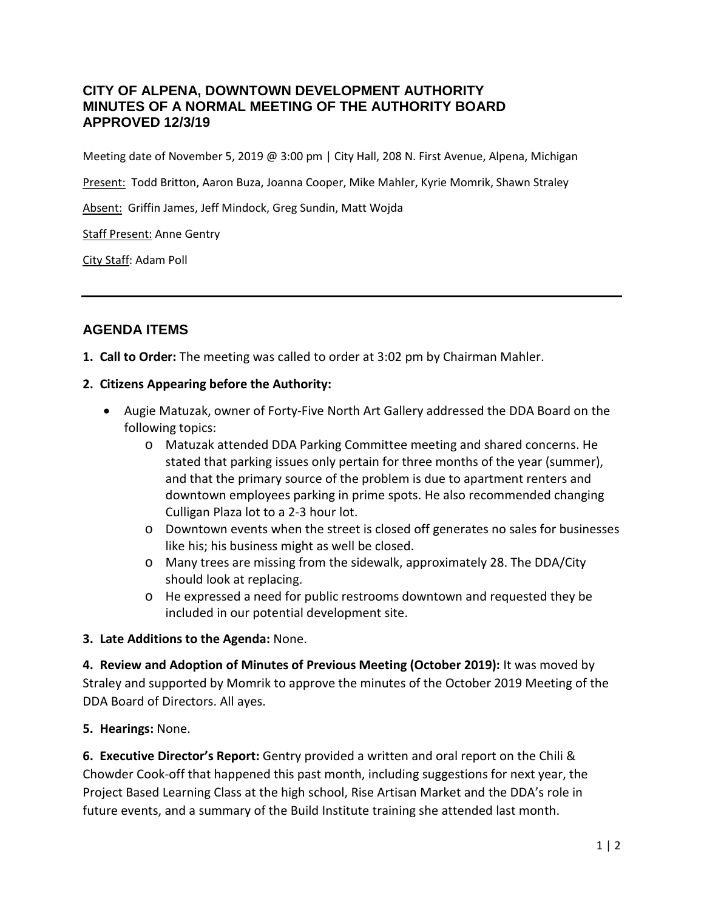## **CITY OF ALPENA, DOWNTOWN DEVELOPMENT AUTHORITY MINUTES OF A NORMAL MEETING OF THE AUTHORITY BOARD APPROVED 12/3/19**

Meeting date of November 5, 2019 @ 3:00 pm | City Hall, 208 N. First Avenue, Alpena, Michigan

Present: Todd Britton, Aaron Buza, Joanna Cooper, Mike Mahler, Kyrie Momrik, Shawn Straley

Absent: Griffin James, Jeff Mindock, Greg Sundin, Matt Wojda

Staff Present: Anne Gentry

City Staff: Adam Poll

## **AGENDA ITEMS**

#### **1. Call to Order:** The meeting was called to order at 3:02 pm by Chairman Mahler.

#### **2. Citizens Appearing before the Authority:**

- Augie Matuzak, owner of Forty-Five North Art Gallery addressed the DDA Board on the following topics:
	- o Matuzak attended DDA Parking Committee meeting and shared concerns. He stated that parking issues only pertain for three months of the year (summer), and that the primary source of the problem is due to apartment renters and downtown employees parking in prime spots. He also recommended changing Culligan Plaza lot to a 2-3 hour lot.
	- o Downtown events when the street is closed off generates no sales for businesses like his; his business might as well be closed.
	- o Many trees are missing from the sidewalk, approximately 28. The DDA/City should look at replacing.
	- o He expressed a need for public restrooms downtown and requested they be included in our potential development site.

#### **3. Late Additions to the Agenda:** None.

**4. Review and Adoption of Minutes of Previous Meeting (October 2019):** It was moved by Straley and supported by Momrik to approve the minutes of the October 2019 Meeting of the DDA Board of Directors. All ayes.

#### **5. Hearings:** None.

**6. Executive Director's Report:** Gentry provided a written and oral report on the Chili & Chowder Cook-off that happened this past month, including suggestions for next year, the Project Based Learning Class at the high school, Rise Artisan Market and the DDA's role in future events, and a summary of the Build Institute training she attended last month.